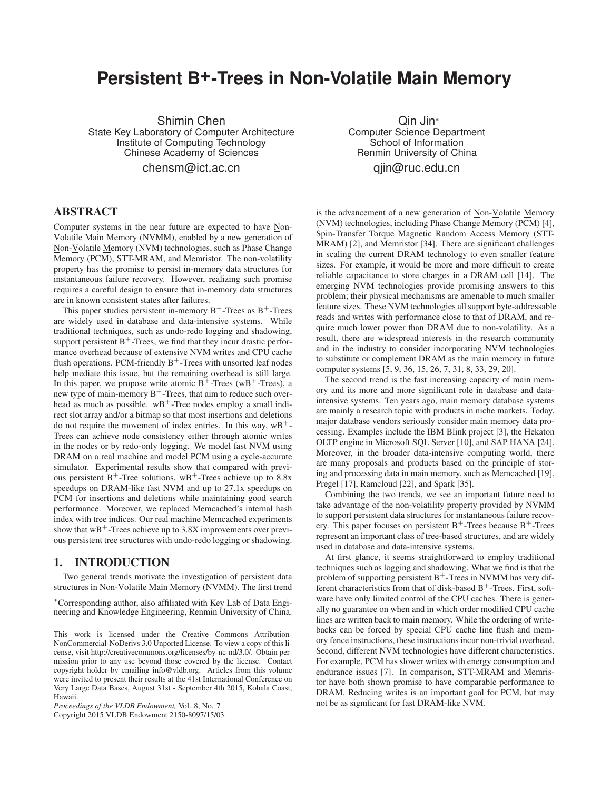# **Persistent B+-Trees in Non-Volatile Main Memory**

Shimin Chen State Key Laboratory of Computer Architecture Institute of Computing Technology Chinese Academy of Sciences

chensm@ict.ac.cn

Qin Jin<sup>∗</sup> Computer Science Department School of Information Renmin University of China qjin@ruc.edu.cn

# **ABSTRACT**

Computer systems in the near future are expected to have Non-Volatile Main Memory (NVMM), enabled by a new generation of Non-Volatile Memory (NVM) technologies, such as Phase Change Memory (PCM), STT-MRAM, and Memristor. The non-volatility property has the promise to persist in-memory data structures for instantaneous failure recovery. However, realizing such promise requires a careful design to ensure that in-memory data structures are in known consistent states after failures.

This paper studies persistent in-memory  $B^+$ -Trees as  $B^+$ -Trees are widely used in database and data-intensive systems. While traditional techniques, such as undo-redo logging and shadowing, support persistent  $B^+$ -Trees, we find that they incur drastic performance overhead because of extensive NVM writes and CPU cache flush operations. PCM-friendly  $B^+$ -Trees with unsorted leaf nodes help mediate this issue, but the remaining overhead is still large. In this paper, we propose write atomic  $B^+$ -Trees (wB<sup>+</sup>-Trees), a new type of main-memory  $B^+$ -Trees, that aim to reduce such overhead as much as possible.  $wB^+$ -Tree nodes employ a small indirect slot array and/or a bitmap so that most insertions and deletions do not require the movement of index entries. In this way,  $wB^+$ -Trees can achieve node consistency either through atomic writes in the nodes or by redo-only logging. We model fast NVM using DRAM on a real machine and model PCM using a cycle-accurate simulator. Experimental results show that compared with previous persistent  $B^+$ -Tree solutions, wB<sup>+</sup>-Trees achieve up to 8.8x speedups on DRAM-like fast NVM and up to 27.1x speedups on PCM for insertions and deletions while maintaining good search performance. Moreover, we replaced Memcached's internal hash index with tree indices. Our real machine Memcached experiments show that  $wB^+$ -Trees achieve up to 3.8X improvements over previous persistent tree structures with undo-redo logging or shadowing.

# **1. INTRODUCTION**

Two general trends motivate the investigation of persistent data structures in Non-Volatile Main Memory (NVMM). The first trend

*Proceedings of the VLDB Endowment,* Vol. 8, No. 7

Copyright 2015 VLDB Endowment 2150-8097/15/03.

is the advancement of a new generation of Non-Volatile Memory (NVM) technologies, including Phase Change Memory (PCM) [4], Spin-Transfer Torque Magnetic Random Access Memory (STT-MRAM) [2], and Memristor [34]. There are significant challenges in scaling the current DRAM technology to even smaller feature sizes. For example, it would be more and more difficult to create reliable capacitance to store charges in a DRAM cell [14]. The emerging NVM technologies provide promising answers to this problem; their physical mechanisms are amenable to much smaller feature sizes. These NVM technologies all support byte-addressable reads and writes with performance close to that of DRAM, and require much lower power than DRAM due to non-volatility. As a result, there are widespread interests in the research community and in the industry to consider incorporating NVM technologies to substitute or complement DRAM as the main memory in future computer systems [5, 9, 36, 15, 26, 7, 31, 8, 33, 29, 20].

The second trend is the fast increasing capacity of main memory and its more and more significant role in database and dataintensive systems. Ten years ago, main memory database systems are mainly a research topic with products in niche markets. Today, major database vendors seriously consider main memory data processing. Examples include the IBM Blink project [3], the Hekaton OLTP engine in Microsoft SQL Server [10], and SAP HANA [24]. Moreover, in the broader data-intensive computing world, there are many proposals and products based on the principle of storing and processing data in main memory, such as Memcached [19], Pregel [17], Ramcloud [22], and Spark [35].

Combining the two trends, we see an important future need to take advantage of the non-volatility property provided by NVMM to support persistent data structures for instantaneous failure recovery. This paper focuses on persistent  $B^+$ -Trees because  $B^+$ -Trees represent an important class of tree-based structures, and are widely used in database and data-intensive systems.

At first glance, it seems straightforward to employ traditional techniques such as logging and shadowing. What we find is that the problem of supporting persistent  $B^+$ -Trees in NVMM has very different characteristics from that of disk-based  $B^+$ -Trees. First, software have only limited control of the CPU caches. There is generally no guarantee on when and in which order modified CPU cache lines are written back to main memory. While the ordering of writebacks can be forced by special CPU cache line flush and memory fence instructions, these instructions incur non-trivial overhead. Second, different NVM technologies have different characteristics. For example, PCM has slower writes with energy consumption and endurance issues [7]. In comparison, STT-MRAM and Memristor have both shown promise to have comparable performance to DRAM. Reducing writes is an important goal for PCM, but may not be as significant for fast DRAM-like NVM.

<sup>∗</sup>Corresponding author, also affiliated with Key Lab of Data Engineering and Knowledge Engineering, Renmin University of China.

This work is licensed under the Creative Commons Attribution-NonCommercial-NoDerivs 3.0 Unported License. To view a copy of this license, visit http://creativecommons.org/licenses/by-nc-nd/3.0/. Obtain permission prior to any use beyond those covered by the license. Contact copyright holder by emailing info@vldb.org. Articles from this volume were invited to present their results at the 41st International Conference on Very Large Data Bases, August 31st - September 4th 2015, Kohala Coast, Hawaii.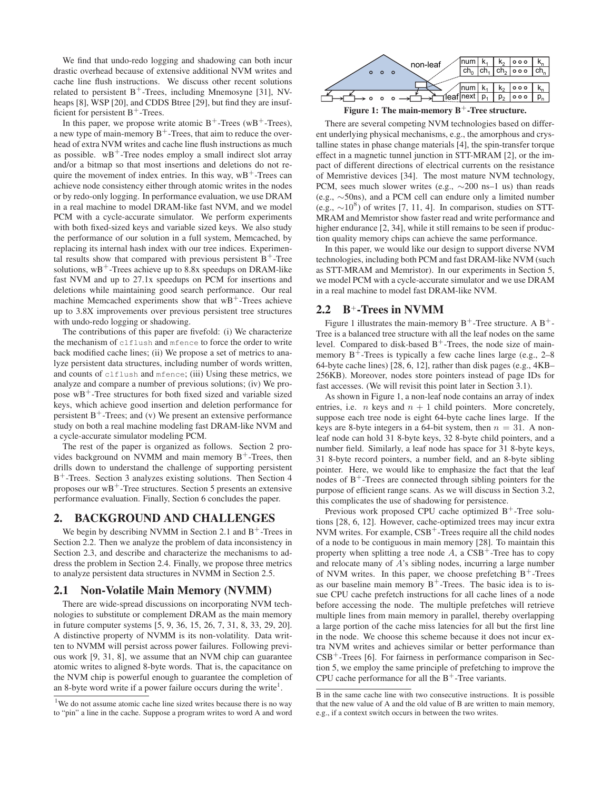We find that undo-redo logging and shadowing can both incur drastic overhead because of extensive additional NVM writes and cache line flush instructions. We discuss other recent solutions related to persistent  $B^+$ -Trees, including Mnemosyne [31], NVheaps [8], WSP [20], and CDDS Btree [29], but find they are insufficient for persistent  $B^+$ -Trees.

In this paper, we propose write atomic  $B^+$ -Trees (w $B^+$ -Trees), a new type of main-memory  $B^+$ -Trees, that aim to reduce the overhead of extra NVM writes and cache line flush instructions as much as possible.  $wB^+$ -Tree nodes employ a small indirect slot array and/or a bitmap so that most insertions and deletions do not require the movement of index entries. In this way,  $wB^+$ -Trees can achieve node consistency either through atomic writes in the nodes or by redo-only logging. In performance evaluation, we use DRAM in a real machine to model DRAM-like fast NVM, and we model PCM with a cycle-accurate simulator. We perform experiments with both fixed-sized keys and variable sized keys. We also study the performance of our solution in a full system, Memcached, by replacing its internal hash index with our tree indices. Experimental results show that compared with previous persistent  $B^+$ -Tree solutions,  $wB^+$ -Trees achieve up to 8.8x speedups on DRAM-like fast NVM and up to 27.1x speedups on PCM for insertions and deletions while maintaining good search performance. Our real machine Memcached experiments show that  $wB^+$ -Trees achieve up to 3.8X improvements over previous persistent tree structures with undo-redo logging or shadowing.

The contributions of this paper are fivefold: (i) We characterize the mechanism of clflush and mfence to force the order to write back modified cache lines; (ii) We propose a set of metrics to analyze persistent data structures, including number of words written, and counts of clflush and mfence; (iii) Using these metrics, we analyze and compare a number of previous solutions; (iv) We propose  $wB^+$ -Tree structures for both fixed sized and variable sized keys, which achieve good insertion and deletion performance for persistent  $B^+$ -Trees; and (v) We present an extensive performance study on both a real machine modeling fast DRAM-like NVM and a cycle-accurate simulator modeling PCM.

The rest of the paper is organized as follows. Section 2 provides background on NVMM and main memory  $B^+$ -Trees, then drills down to understand the challenge of supporting persistent B<sup>+</sup>-Trees. Section 3 analyzes existing solutions. Then Section 4 proposes our  $wB^+$ -Tree structures. Section 5 presents an extensive performance evaluation. Finally, Section 6 concludes the paper.

### **2. BACKGROUND AND CHALLENGES**

We begin by describing NVMM in Section 2.1 and  $B^+$ -Trees in Section 2.2. Then we analyze the problem of data inconsistency in Section 2.3, and describe and characterize the mechanisms to address the problem in Section 2.4. Finally, we propose three metrics to analyze persistent data structures in NVMM in Section 2.5.

### **2.1 Non-Volatile Main Memory (NVMM)**

There are wide-spread discussions on incorporating NVM technologies to substitute or complement DRAM as the main memory in future computer systems [5, 9, 36, 15, 26, 7, 31, 8, 33, 29, 20]. A distinctive property of NVMM is its non-volatility. Data written to NVMM will persist across power failures. Following previous work [9, 31, 8], we assume that an NVM chip can guarantee atomic writes to aligned 8-byte words. That is, the capacitance on the NVM chip is powerful enough to guarantee the completion of an 8-byte word write if a power failure occurs during the write<sup>1</sup>.



Figure 1: The main-memory B<sup>+</sup>-Tree structure.

There are several competing NVM technologies based on different underlying physical mechanisms, e.g., the amorphous and crystalline states in phase change materials [4], the spin-transfer torque effect in a magnetic tunnel junction in STT-MRAM [2], or the impact of different directions of electrical currents on the resistance of Memristive devices [34]. The most mature NVM technology, PCM, sees much slower writes (e.g., ∼200 ns–1 us) than reads (e.g., ∼50ns), and a PCM cell can endure only a limited number (e.g.,  $\sim$ 10<sup>8</sup>) of writes [7, 11, 4]. In comparison, studies on STT-MRAM and Memristor show faster read and write performance and higher endurance [2, 34], while it still remains to be seen if production quality memory chips can achieve the same performance.

In this paper, we would like our design to support diverse NVM technologies, including both PCM and fast DRAM-like NVM (such as STT-MRAM and Memristor). In our experiments in Section 5, we model PCM with a cycle-accurate simulator and we use DRAM in a real machine to model fast DRAM-like NVM.

### **2.2 B**+**-Trees in NVMM**

Figure 1 illustrates the main-memory  $B^+$ -Tree structure. A  $B^+$ -Tree is a balanced tree structure with all the leaf nodes on the same level. Compared to disk-based  $B^+$ -Trees, the node size of mainmemory  $B^+$ -Trees is typically a few cache lines large (e.g., 2–8) 64-byte cache lines) [28, 6, 12], rather than disk pages (e.g., 4KB– 256KB). Moreover, nodes store pointers instead of page IDs for fast accesses. (We will revisit this point later in Section 3.1).

As shown in Figure 1, a non-leaf node contains an array of index entries, i.e. *n* keys and  $n + 1$  child pointers. More concretely, suppose each tree node is eight 64-byte cache lines large. If the keys are 8-byte integers in a 64-bit system, then  $n = 31$ . A nonleaf node can hold 31 8-byte keys, 32 8-byte child pointers, and a number field. Similarly, a leaf node has space for 31 8-byte keys, 31 8-byte record pointers, a number field, and an 8-byte sibling pointer. Here, we would like to emphasize the fact that the leaf nodes of  $B^+$ -Trees are connected through sibling pointers for the purpose of efficient range scans. As we will discuss in Section 3.2, this complicates the use of shadowing for persistence.

Previous work proposed CPU cache optimized  $B^+$ -Tree solutions [28, 6, 12]. However, cache-optimized trees may incur extra NVM writes. For example,  $CSB^+$ -Trees require all the child nodes of a node to be contiguous in main memory [28]. To maintain this property when splitting a tree node  $A$ , a  $CSB^+$ -Tree has to copy and relocate many of A's sibling nodes, incurring a large number of NVM writes. In this paper, we choose prefetching  $B^+$ -Trees as our baseline main memory  $B^+$ -Trees. The basic idea is to issue CPU cache prefetch instructions for all cache lines of a node before accessing the node. The multiple prefetches will retrieve multiple lines from main memory in parallel, thereby overlapping a large portion of the cache miss latencies for all but the first line in the node. We choose this scheme because it does not incur extra NVM writes and achieves similar or better performance than  $CSB<sup>+</sup>$ -Trees [6]. For fairness in performance comparison in Section 5, we employ the same principle of prefetching to improve the CPU cache performance for all the  $B^+$ -Tree variants.

 $1$ We do not assume atomic cache line sized writes because there is no way to "pin" a line in the cache. Suppose a program writes to word A and word

B in the same cache line with two consecutive instructions. It is possible that the new value of A and the old value of B are written to main memory, e.g., if a context switch occurs in between the two writes.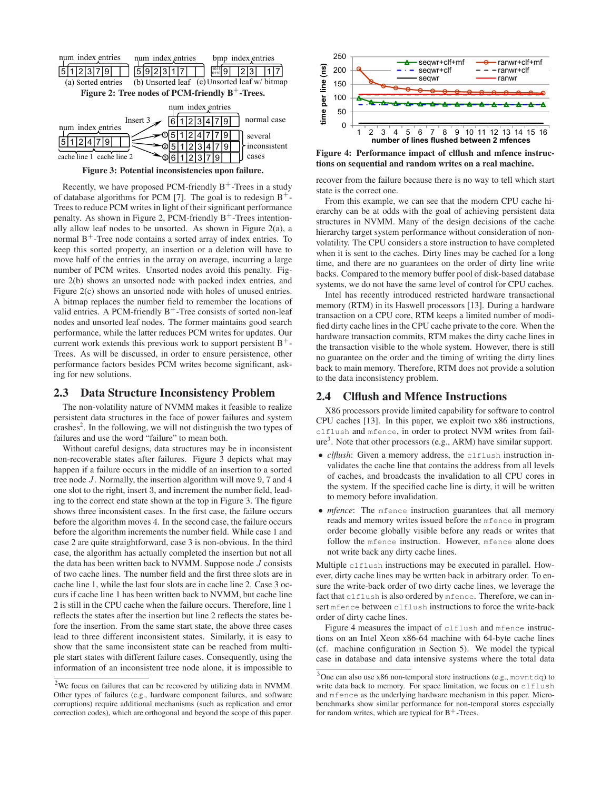

**Figure 3: Potential inconsistencies upon failure.**

Recently, we have proposed PCM-friendly  $B^+$ -Trees in a study of database algorithms for PCM [7]. The goal is to redesign  $B^+$ -Trees to reduce PCM writes in light of their significant performance penalty. As shown in Figure 2, PCM-friendly  $B^+$ -Trees intentionally allow leaf nodes to be unsorted. As shown in Figure 2(a), a normal  $B^+$ -Tree node contains a sorted array of index entries. To keep this sorted property, an insertion or a deletion will have to move half of the entries in the array on average, incurring a large number of PCM writes. Unsorted nodes avoid this penalty. Figure 2(b) shows an unsorted node with packed index entries, and Figure 2(c) shows an unsorted node with holes of unused entries. A bitmap replaces the number field to remember the locations of valid entries. A PCM-friendly  $B^+$ -Tree consists of sorted non-leaf nodes and unsorted leaf nodes. The former maintains good search performance, while the latter reduces PCM writes for updates. Our current work extends this previous work to support persistent  $B^+$ -Trees. As will be discussed, in order to ensure persistence, other performance factors besides PCM writes become significant, asking for new solutions.

### **2.3 Data Structure Inconsistency Problem**

The non-volatility nature of NVMM makes it feasible to realize persistent data structures in the face of power failures and system crashes<sup>2</sup>. In the following, we will not distinguish the two types of failures and use the word "failure" to mean both.

Without careful designs, data structures may be in inconsistent non-recoverable states after failures. Figure 3 depicts what may happen if a failure occurs in the middle of an insertion to a sorted tree node J. Normally, the insertion algorithm will move 9, 7 and 4 one slot to the right, insert 3, and increment the number field, leading to the correct end state shown at the top in Figure 3. The figure shows three inconsistent cases. In the first case, the failure occurs before the algorithm moves 4. In the second case, the failure occurs before the algorithm increments the number field. While case 1 and case 2 are quite straightforward, case 3 is non-obvious. In the third case, the algorithm has actually completed the insertion but not all the data has been written back to NVMM. Suppose node  $J$  consists of two cache lines. The number field and the first three slots are in cache line 1, while the last four slots are in cache line 2. Case 3 occurs if cache line 1 has been written back to NVMM, but cache line 2 is still in the CPU cache when the failure occurs. Therefore, line 1 reflects the states after the insertion but line 2 reflects the states before the insertion. From the same start state, the above three cases lead to three different inconsistent states. Similarly, it is easy to show that the same inconsistent state can be reached from multiple start states with different failure cases. Consequently, using the information of an inconsistent tree node alone, it is impossible to



**Figure 4: Performance impact of clflush and mfence instructions on sequential and random writes on a real machine.**

recover from the failure because there is no way to tell which start state is the correct one.

From this example, we can see that the modern CPU cache hierarchy can be at odds with the goal of achieving persistent data structures in NVMM. Many of the design decisions of the cache hierarchy target system performance without consideration of nonvolatility. The CPU considers a store instruction to have completed when it is sent to the caches. Dirty lines may be cached for a long time, and there are no guarantees on the order of dirty line write backs. Compared to the memory buffer pool of disk-based database systems, we do not have the same level of control for CPU caches.

Intel has recently introduced restricted hardware transactional memory (RTM) in its Haswell processors [13]. During a hardware transaction on a CPU core, RTM keeps a limited number of modified dirty cache lines in the CPU cache private to the core. When the hardware transaction commits, RTM makes the dirty cache lines in the transaction visible to the whole system. However, there is still no guarantee on the order and the timing of writing the dirty lines back to main memory. Therefore, RTM does not provide a solution to the data inconsistency problem.

# **2.4 Clflush and Mfence Instructions**

X86 processors provide limited capability for software to control CPU caches [13]. In this paper, we exploit two x86 instructions, clflush and mfence, in order to protect NVM writes from failure<sup>3</sup>. Note that other processors (e.g., ARM) have similar support.

- *clflush*: Given a memory address, the clflush instruction invalidates the cache line that contains the address from all levels of caches, and broadcasts the invalidation to all CPU cores in the system. If the specified cache line is dirty, it will be written to memory before invalidation.
- *mfence*: The mfence instruction guarantees that all memory reads and memory writes issued before the mfence in program order become globally visible before any reads or writes that follow the mfence instruction. However, mfence alone does not write back any dirty cache lines.

Multiple clflush instructions may be executed in parallel. However, dirty cache lines may be wrtten back in arbitrary order. To ensure the write-back order of two dirty cache lines, we leverage the fact that clflush is also ordered by mfence. Therefore, we can insert mfence between clflush instructions to force the write-back order of dirty cache lines.

Figure 4 measures the impact of clflush and mfence instructions on an Intel Xeon x86-64 machine with 64-byte cache lines (cf. machine configuration in Section 5). We model the typical case in database and data intensive systems where the total data

 $2$ We focus on failures that can be recovered by utilizing data in NVMM. Other types of failures (e.g., hardware component failures, and software corruptions) require additional mechanisms (such as replication and error correction codes), which are orthogonal and beyond the scope of this paper.

 $3$ One can also use x86 non-temporal store instructions (e.g., movntdq) to write data back to memory. For space limitation, we focus on clflush and mfence as the underlying hardware mechanism in this paper. Microbenchmarks show similar performance for non-temporal stores especially for random writes, which are typical for  $B^+$ -Trees.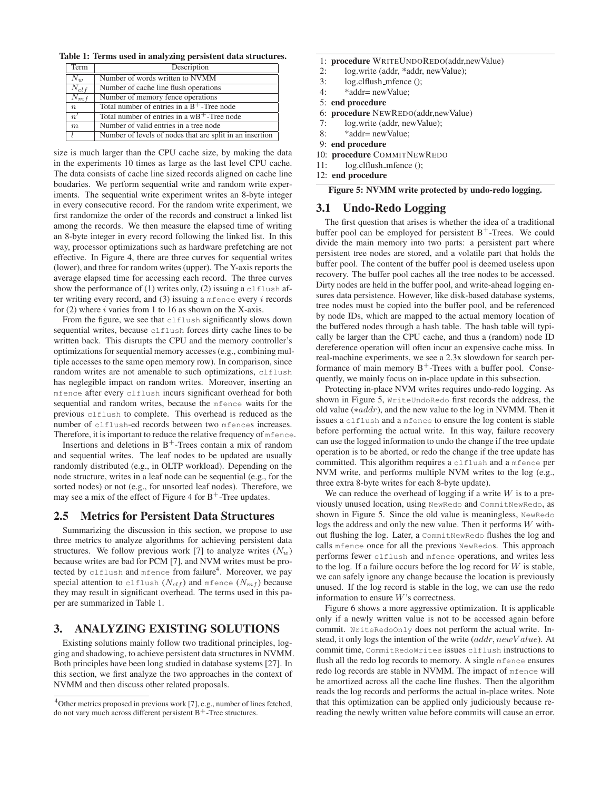**Table 1: Terms used in analyzing persistent data structures.**

| Term             | Description                                              |
|------------------|----------------------------------------------------------|
| $\overline{N}_w$ | Number of words written to NVMM                          |
| $N_{clf}$        | Number of cache line flush operations                    |
| $N_{mf}$         | Number of memory fence operations                        |
| $\boldsymbol{n}$ | Total number of entries in a $B^+$ -Tree node            |
| $\overline{n'}$  | Total number of entries in a $wB^+$ -Tree node           |
| $\boldsymbol{m}$ | Number of valid entries in a tree node                   |
|                  | Number of levels of nodes that are split in an insertion |

size is much larger than the CPU cache size, by making the data in the experiments 10 times as large as the last level CPU cache. The data consists of cache line sized records aligned on cache line boudaries. We perform sequential write and random write experiments. The sequential write experiment writes an 8-byte integer in every consecutive record. For the random write experiment, we first randomize the order of the records and construct a linked list among the records. We then measure the elapsed time of writing an 8-byte integer in every record following the linked list. In this way, processor optimizations such as hardware prefetching are not effective. In Figure 4, there are three curves for sequential writes (lower), and three for random writes (upper). The Y-axis reports the average elapsed time for accessing each record. The three curves show the performance of (1) writes only, (2) issuing a clflush after writing every record, and  $(3)$  issuing a mfence every i records for  $(2)$  where *i* varies from 1 to 16 as shown on the X-axis.

From the figure, we see that clflush significantly slows down sequential writes, because clflush forces dirty cache lines to be written back. This disrupts the CPU and the memory controller's optimizations for sequential memory accesses (e.g., combining multiple accesses to the same open memory row). In comparison, since random writes are not amenable to such optimizations, clflush has neglegible impact on random writes. Moreover, inserting an mfence after every clflush incurs significant overhead for both sequential and random writes, because the mfence waits for the previous clflush to complete. This overhead is reduced as the number of clflush-ed records between two mfences increases. Therefore, it is important to reduce the relative frequency of mfence.

Insertions and deletions in  $B^+$ -Trees contain a mix of random and sequential writes. The leaf nodes to be updated are usually randomly distributed (e.g., in OLTP workload). Depending on the node structure, writes in a leaf node can be sequential (e.g., for the sorted nodes) or not (e.g., for unsorted leaf nodes). Therefore, we may see a mix of the effect of Figure 4 for  $B^+$ -Tree updates.

### **2.5 Metrics for Persistent Data Structures**

Summarizing the discussion in this section, we propose to use three metrics to analyze algorithms for achieving persistent data structures. We follow previous work [7] to analyze writes  $(N_w)$ because writes are bad for PCM [7], and NVM writes must be protected by clflush and mfence from failure $\sp4$ . Moreover, we pay special attention to clflush  $(N_{clf})$  and mfence  $(N_{mf})$  because they may result in significant overhead. The terms used in this paper are summarized in Table 1.

### **3. ANALYZING EXISTING SOLUTIONS**

Existing solutions mainly follow two traditional principles, logging and shadowing, to achieve persistent data structures in NVMM. Both principles have been long studied in database systems [27]. In this section, we first analyze the two approaches in the context of NVMM and then discuss other related proposals.

1: **procedure** WRITEUNDOREDO(addr,newValue)

- 2: log.write (addr, \*addr, newValue);
- 3: log.clflush mfence ();
- 4: \*addr= newValue;
- 5: **end procedure**
- 6: **procedure** NEWREDO(addr,newValue)
- 7: log.write (addr, newValue);
- 8: \*addr= newValue;
- 9: **end procedure**
- 10: **procedure** COMMITNEWREDO
- 11: log.clflush mfence ();
- 12: **end procedure**

**Figure 5: NVMM write protected by undo-redo logging.**

## **3.1 Undo-Redo Logging**

The first question that arises is whether the idea of a traditional buffer pool can be employed for persistent  $B^+$ -Trees. We could divide the main memory into two parts: a persistent part where persistent tree nodes are stored, and a volatile part that holds the buffer pool. The content of the buffer pool is deemed useless upon recovery. The buffer pool caches all the tree nodes to be accessed. Dirty nodes are held in the buffer pool, and write-ahead logging ensures data persistence. However, like disk-based database systems, tree nodes must be copied into the buffer pool, and be referenced by node IDs, which are mapped to the actual memory location of the buffered nodes through a hash table. The hash table will typically be larger than the CPU cache, and thus a (random) node ID dereference operation will often incur an expensive cache miss. In real-machine experiments, we see a 2.3x slowdown for search performance of main memory  $B^+$ -Trees with a buffer pool. Consequently, we mainly focus on in-place update in this subsection.

Protecting in-place NVM writes requires undo-redo logging. As shown in Figure 5, WriteUndoRedo first records the address, the old value (∗addr), and the new value to the log in NVMM. Then it issues a clflush and a mfence to ensure the log content is stable before performing the actual write. In this way, failure recovery can use the logged information to undo the change if the tree update operation is to be aborted, or redo the change if the tree update has committed. This algorithm requires a clflush and a mfence per NVM write, and performs multiple NVM writes to the log (e.g., three extra 8-byte writes for each 8-byte update).

We can reduce the overhead of logging if a write  $W$  is to a previously unused location, using NewRedo and CommitNewRedo, as shown in Figure 5. Since the old value is meaningless, NewRedo logs the address and only the new value. Then it performs W without flushing the log. Later, a CommitNewRedo flushes the log and calls mfence once for all the previous NewRedos. This approach performs fewer clflush and mfence operations, and writes less to the log. If a failure occurs before the log record for  $W$  is stable, we can safely ignore any change because the location is previously unused. If the log record is stable in the log, we can use the redo information to ensure W's correctness.

Figure 6 shows a more aggressive optimization. It is applicable only if a newly written value is not to be accessed again before commit. WriteRedoOnly does not perform the actual write. Instead, it only logs the intention of the write  $(\alpha ddr, newValue)$ . At commit time, CommitRedoWrites issues clflush instructions to flush all the redo log records to memory. A single mfence ensures redo log records are stable in NVMM. The impact of mfence will be amortized across all the cache line flushes. Then the algorithm reads the log records and performs the actual in-place writes. Note that this optimization can be applied only judiciously because rereading the newly written value before commits will cause an error.

 $4$ Other metrics proposed in previous work [7], e.g., number of lines fetched, do not vary much across different persistent  $B^+$ -Tree structures.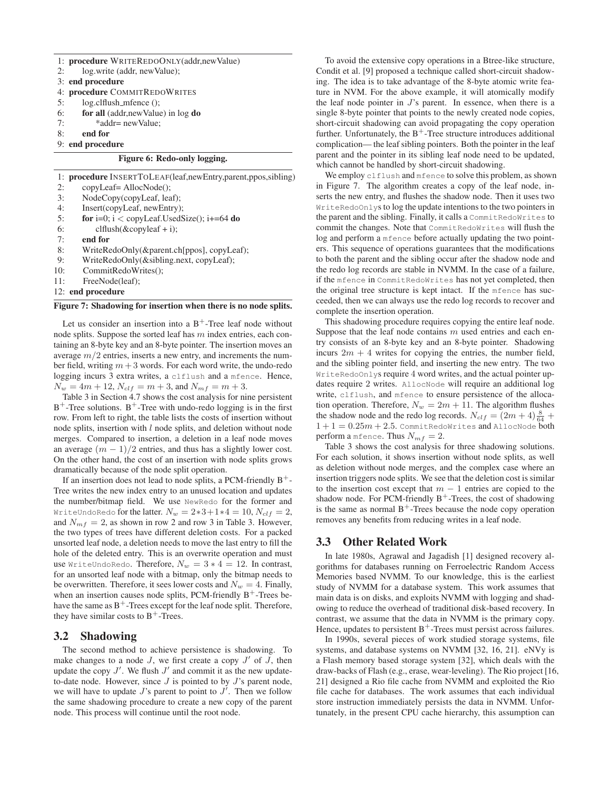|  |  | 1: <b>procedure</b> WRITEREDOONLY(addr, new Value) |  |
|--|--|----------------------------------------------------|--|
|--|--|----------------------------------------------------|--|

- 2: log.write (addr, newValue);
- 3: **end procedure**
- 4: **procedure** COMMITREDOWRITES
- 5: log.clflush mfence ();
- 6: **for all** (addr,newValue) in log **do**
- 7: \*addr= newValue;
- 8: **end for**
- 9: **end procedure**

### **Figure 6: Redo-only logging.**

|     | 1: <b>procedure</b> INSERTTOLEAF(leaf, new Entry, parent, ppos, sibling) |
|-----|--------------------------------------------------------------------------|
| 2:  | copyLeaf=AllocNode();                                                    |
| 3:  | NodeCopy(copyLeaf, leaf);                                                |
| 4:  | Insert(copyLeaf, newEntry);                                              |
| 5:  | for i=0; i < copyLeaf.UsedSize(); i+=64 do                               |
| 6:  | $cl flush (&copyleaf + i);$                                              |
| 7:  | end for                                                                  |
| 8:  | WriteRedoOnly(&parent.ch[ppos], copyLeaf);                               |
| 9:  | WriteRedoOnly(&sibling.next, copyLeaf);                                  |
| 10: | CommitRedoWrites();                                                      |
| 11: | FreeNode(leaf);                                                          |
|     | 12: end procedure                                                        |

#### **Figure 7: Shadowing for insertion when there is no node splits.**

Let us consider an insertion into a  $B^+$ -Tree leaf node without node splits. Suppose the sorted leaf has  $m$  index entries, each containing an 8-byte key and an 8-byte pointer. The insertion moves an average  $m/2$  entries, inserts a new entry, and increments the number field, writing  $m + 3$  words. For each word write, the undo-redo logging incurs 3 extra writes, a clflush and a mfence. Hence,  $N_w = 4m + 12$ ,  $N_{clf} = m + 3$ , and  $N_{mf} = m + 3$ .

Table 3 in Section 4.7 shows the cost analysis for nine persistent  $B^+$ -Tree solutions.  $B^+$ -Tree with undo-redo logging is in the first row. From left to right, the table lists the costs of insertion without node splits, insertion with  $l$  node splits, and deletion without node merges. Compared to insertion, a deletion in a leaf node moves an average  $(m - 1)/2$  entries, and thus has a slightly lower cost. On the other hand, the cost of an insertion with node splits grows dramatically because of the node split operation.

If an insertion does not lead to node splits, a PCM-friendly  $B^+$ -Tree writes the new index entry to an unused location and updates the number/bitmap field. We use NewRedo for the former and WriteUndoRedo for the latter.  $N_w = 2*3+1*4 = 10$ ,  $N_{clf} = 2$ , and  $N_{mf} = 2$ , as shown in row 2 and row 3 in Table 3. However, the two types of trees have different deletion costs. For a packed unsorted leaf node, a deletion needs to move the last entry to fill the hole of the deleted entry. This is an overwrite operation and must use WriteUndoRedo. Therefore,  $N_w = 3 * 4 = 12$ . In contrast, for an unsorted leaf node with a bitmap, only the bitmap needs to be overwritten. Therefore, it sees lower costs and  $N_w = 4$ . Finally, when an insertion causes node splits, PCM-friendly  $B^+$ -Trees behave the same as  $B^+$ -Trees except for the leaf node split. Therefore, they have similar costs to  $B^+$ -Trees.

# **3.2 Shadowing**

The second method to achieve persistence is shadowing. To make changes to a node  $J$ , we first create a copy  $J'$  of  $\tilde{J}$ , then update the copy  $J'$ . We flush  $J'$  and commit it as the new updateto-date node. However, since  $J$  is pointed to by  $J$ 's parent node, we will have to update  $J$ 's parent to point to  $J'$ . Then we follow the same shadowing procedure to create a new copy of the parent node. This process will continue until the root node.

To avoid the extensive copy operations in a Btree-like structure, Condit et al. [9] proposed a technique called short-circuit shadowing. The idea is to take advantage of the 8-byte atomic write feature in NVM. For the above example, it will atomically modify the leaf node pointer in  $J$ 's parent. In essence, when there is a single 8-byte pointer that points to the newly created node copies, short-circuit shadowing can avoid propagating the copy operation further. Unfortunately, the  $B^+$ -Tree structure introduces additional complication— the leaf sibling pointers. Both the pointer in the leaf parent and the pointer in its sibling leaf node need to be updated, which cannot be handled by short-circuit shadowing.

We employ clflush and mfence to solve this problem, as shown in Figure 7. The algorithm creates a copy of the leaf node, inserts the new entry, and flushes the shadow node. Then it uses two WriteRedoOnlys to log the update intentions to the two pointers in the parent and the sibling. Finally, it calls a CommitRedoWrites to commit the changes. Note that CommitRedoWrites will flush the log and perform a mfence before actually updating the two pointers. This sequence of operations guarantees that the modifications to both the parent and the sibling occur after the shadow node and the redo log records are stable in NVMM. In the case of a failure, if the mfence in CommitRedoWrites has not yet completed, then the original tree structure is kept intact. If the mfence has succeeded, then we can always use the redo log records to recover and complete the insertion operation.

This shadowing procedure requires copying the entire leaf node. Suppose that the leaf node contains  $m$  used entries and each entry consists of an 8-byte key and an 8-byte pointer. Shadowing incurs  $2m + 4$  writes for copying the entries, the number field, and the sibling pointer field, and inserting the new entry. The two WriteRedoOnlys require 4 word writes, and the actual pointer updates require 2 writes. AllocNode will require an additional log write, clflush, and mfence to ensure persistence of the allocation operation. Therefore,  $N_w = 2m + 11$ . The algorithm flushes the shadow node and the redo log records.  $N_{clf} = (2m + 4) \frac{8}{64} +$  $1 + 1 = 0.25m + 2.5$ . CommitRedoWrites and AllocNode both perform a mfence. Thus  $N_{mf} = 2$ .

Table 3 shows the cost analysis for three shadowing solutions. For each solution, it shows insertion without node splits, as well as deletion without node merges, and the complex case where an insertion triggers node splits. We see that the deletion cost is similar to the insertion cost except that  $m - 1$  entries are copied to the shadow node. For PCM-friendly  $B^+$ -Trees, the cost of shadowing is the same as normal  $B^+$ -Trees because the node copy operation removes any benefits from reducing writes in a leaf node.

# **3.3 Other Related Work**

In late 1980s, Agrawal and Jagadish [1] designed recovery algorithms for databases running on Ferroelectric Random Access Memories based NVMM. To our knowledge, this is the earliest study of NVMM for a database system. This work assumes that main data is on disks, and exploits NVMM with logging and shadowing to reduce the overhead of traditional disk-based recovery. In contrast, we assume that the data in NVMM is the primary copy. Hence, updates to persistent  $B^+$ -Trees must persist across failures.

In 1990s, several pieces of work studied storage systems, file systems, and database systems on NVMM [32, 16, 21]. eNVy is a Flash memory based storage system [32], which deals with the draw-backs of Flash (e.g., erase, wear-leveling). The Rio project [16, 21] designed a Rio file cache from NVMM and exploited the Rio file cache for databases. The work assumes that each individual store instruction immediately persists the data in NVMM. Unfortunately, in the present CPU cache hierarchy, this assumption can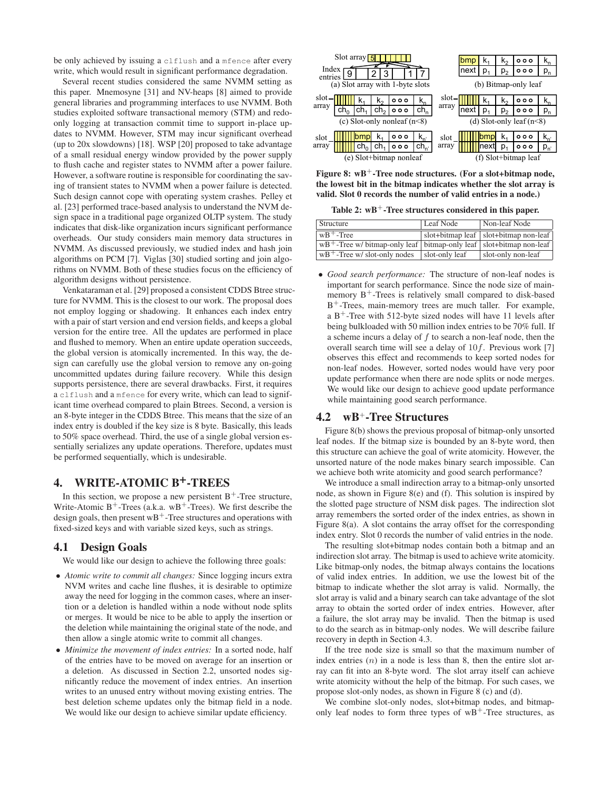be only achieved by issuing a clflush and a mfence after every write, which would result in significant performance degradation.

Several recent studies considered the same NVMM setting as this paper. Mnemosyne [31] and NV-heaps [8] aimed to provide general libraries and programming interfaces to use NVMM. Both studies exploited software transactional memory (STM) and redoonly logging at transaction commit time to support in-place updates to NVMM. However, STM may incur significant overhead (up to 20x slowdowns) [18]. WSP [20] proposed to take advantage of a small residual energy window provided by the power supply to flush cache and register states to NVMM after a power failure. However, a software routine is responsible for coordinating the saving of transient states to NVMM when a power failure is detected. Such design cannot cope with operating system crashes. Pelley et al. [23] performed trace-based analysis to understand the NVM design space in a traditional page organized OLTP system. The study indicates that disk-like organization incurs significant performance overheads. Our study considers main memory data structures in NVMM. As discussed previously, we studied index and hash join algorithms on PCM [7]. Viglas [30] studied sorting and join algorithms on NVMM. Both of these studies focus on the efficiency of algorithm designs without persistence.

Venkataraman et al. [29] proposed a consistent CDDS Btree structure for NVMM. This is the closest to our work. The proposal does not employ logging or shadowing. It enhances each index entry with a pair of start version and end version fields, and keeps a global version for the entire tree. All the updates are performed in place and flushed to memory. When an entire update operation succeeds, the global version is atomically incremented. In this way, the design can carefully use the global version to remove any on-going uncommitted updates during failure recovery. While this design supports persistence, there are several drawbacks. First, it requires a clflush and a mfence for every write, which can lead to significant time overhead compared to plain Btrees. Second, a version is an 8-byte integer in the CDDS Btree. This means that the size of an index entry is doubled if the key size is 8 byte. Basically, this leads to 50% space overhead. Third, the use of a single global version essentially serializes any update operations. Therefore, updates must be performed sequentially, which is undesirable.

# **4. WRITE-ATOMIC B+-TREES**

In this section, we propose a new persistent  $B^+$ -Tree structure, Write-Atomic  $B^+$ -Trees (a.k.a. w $B^+$ -Trees). We first describe the design goals, then present  $wB^+$ -Tree structures and operations with fixed-sized keys and with variable sized keys, such as strings.

### **4.1 Design Goals**

We would like our design to achieve the following three goals:

- *Atomic write to commit all changes:* Since logging incurs extra NVM writes and cache line flushes, it is desirable to optimize away the need for logging in the common cases, where an insertion or a deletion is handled within a node without node splits or merges. It would be nice to be able to apply the insertion or the deletion while maintaining the original state of the node, and then allow a single atomic write to commit all changes.
- *Minimize the movement of index entries:* In a sorted node, half of the entries have to be moved on average for an insertion or a deletion. As discussed in Section 2.2, unsorted nodes significantly reduce the movement of index entries. An insertion writes to an unused entry without moving existing entries. The best deletion scheme updates only the bitmap field in a node. We would like our design to achieve similar update efficiency.

| Index   | Slot array $\sqrt{5}$            |                 |                         |                |       | omo<br>Inext | р    | p, | 000<br>000                 | $\mathsf{p}_{\mathsf{n}}$ |
|---------|----------------------------------|-----------------|-------------------------|----------------|-------|--------------|------|----|----------------------------|---------------------------|
| entries | (a) Slot array with 1-byte slots |                 |                         |                |       |              |      |    | (b) Bitmap-only leaf       |                           |
| slot-   |                                  |                 | 000                     | n <sub>n</sub> | slot- |              |      |    | 000                        |                           |
| array   | ch.                              | ch <sub>2</sub> | 000                     | $ch_n$         | array | next         | p,   | p, | 。。                         | p,                        |
|         | (c) Slot-only nonleaf $(n<8)$    |                 |                         |                |       |              |      |    | (d) Slot-only leaf $(n<8)$ |                           |
| slot    | bmp                              | ĸ٠              | 000                     | $K_{n'}$       | slot  |              | ibmp | ĸ٠ | 000                        | $K_{n'}$                  |
| array   | cn <sub>0</sub>                  | ch.             | 000                     | $ch_{n'}$      | array |              | next | p, | 。。                         | $p_{n'}$                  |
|         |                                  |                 | (e) Slot+bitmap nonleaf |                |       |              |      |    | (f) Slot+bitmap leaf       |                           |

**Figure 8:** wB<sup>+</sup>-Tree node structures. (For a slot+bitmap node, **the lowest bit in the bitmap indicates whether the slot array is valid. Slot 0 records the number of valid entries in a node.)**

**Table 2: wB**<sup>+</sup>**-Tree structures considered in this paper.**

| Structure                                                                             | Leaf Node      | Non-leaf Node                           |
|---------------------------------------------------------------------------------------|----------------|-----------------------------------------|
| $\vert$ wB <sup>+</sup> -Tree                                                         |                | slot+bitmap leaf   slot+bitmap non-leaf |
| $wB$ <sup>+</sup> -Tree w/ bitmap-only leaf   bitmap-only leaf   slot+bitmap non-leaf |                |                                         |
| $wB^+$ -Tree w/ slot-only nodes                                                       | slot-only leaf | slot-only non-leaf                      |

• *Good search performance:* The structure of non-leaf nodes is important for search performance. Since the node size of mainmemory  $B^+$ -Trees is relatively small compared to disk-based B<sup>+</sup>-Trees, main-memory trees are much taller. For example, a  $B^+$ -Tree with 512-byte sized nodes will have 11 levels after being bulkloaded with 50 million index entries to be 70% full. If a scheme incurs a delay of  $f$  to search a non-leaf node, then the overall search time will see a delay of  $10f$ . Previous work [7] observes this effect and recommends to keep sorted nodes for non-leaf nodes. However, sorted nodes would have very poor update performance when there are node splits or node merges. We would like our design to achieve good update performance while maintaining good search performance.

# **4.2 wB**+**-Tree Structures**

Figure 8(b) shows the previous proposal of bitmap-only unsorted leaf nodes. If the bitmap size is bounded by an 8-byte word, then this structure can achieve the goal of write atomicity. However, the unsorted nature of the node makes binary search impossible. Can we achieve both write atomicity and good search performance?

We introduce a small indirection array to a bitmap-only unsorted node, as shown in Figure 8(e) and (f). This solution is inspired by the slotted page structure of NSM disk pages. The indirection slot array remembers the sorted order of the index entries, as shown in Figure 8(a). A slot contains the array offset for the corresponding index entry. Slot 0 records the number of valid entries in the node.

The resulting slot+bitmap nodes contain both a bitmap and an indirection slot array. The bitmap is used to achieve write atomicity. Like bitmap-only nodes, the bitmap always contains the locations of valid index entries. In addition, we use the lowest bit of the bitmap to indicate whether the slot array is valid. Normally, the slot array is valid and a binary search can take advantage of the slot array to obtain the sorted order of index entries. However, after a failure, the slot array may be invalid. Then the bitmap is used to do the search as in bitmap-only nodes. We will describe failure recovery in depth in Section 4.3.

If the tree node size is small so that the maximum number of index entries  $(n)$  in a node is less than 8, then the entire slot array can fit into an 8-byte word. The slot array itself can achieve write atomicity without the help of the bitmap. For such cases, we propose slot-only nodes, as shown in Figure 8 (c) and (d).

We combine slot-only nodes, slot+bitmap nodes, and bitmaponly leaf nodes to form three types of  $wB^+$ -Tree structures, as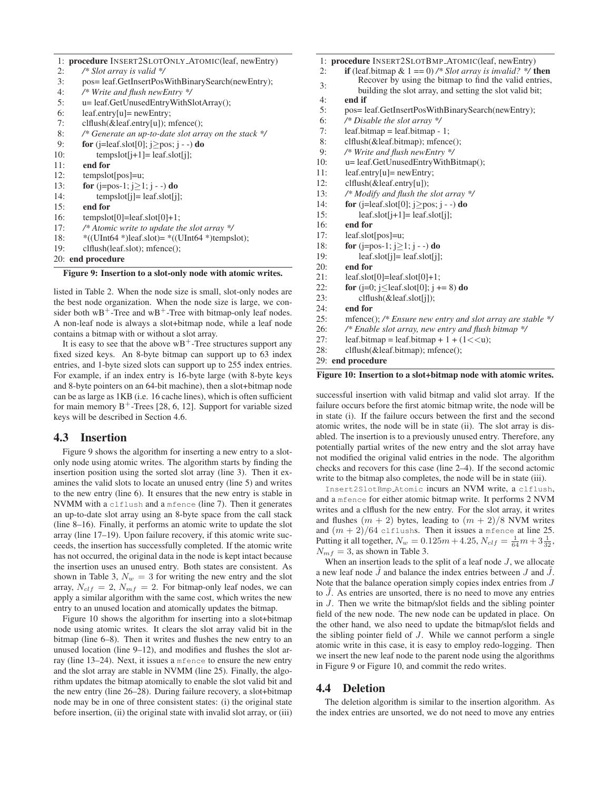|  |  |  |  |  | 1: procedure INSERT2SLOTONLY_ATOMIC(leaf, newEntry) |
|--|--|--|--|--|-----------------------------------------------------|
|--|--|--|--|--|-----------------------------------------------------|

- 2: */\* Slot array is valid \*/* 3: pos= leaf.GetInsertPosWithBinarySearch(newEntry); 4: */\* Write and flush newEntry \*/* 5: u= leaf.GetUnusedEntryWithSlotArray(); 6: leaf.entry[u]= newEntry; 7: clflush(&leaf.entry[u]); mfence(); 8: */\* Generate an up-to-date slot array on the stack \*/* 9: **for** (j=leaf.slot[0]; j≥pos; j - -) **do** 10: tempslot $[i+1]$ = leaf.slot $[i]$ ; 11: **end for** 12: tempslot[pos]=u; 13: **for** (j=pos-1; j≥1; j - -) **do** 14: tempslot[j]= leaf.slot[j]; 15: **end for** 16: tempslot $[0] =$ leaf.slot $[0]+1$ ;
- 17: */\* Atomic write to update the slot array \*/*
- 18:  $\ast$ ((UInt64  $\ast$ )leaf.slot)=  $\ast$ ((UInt64  $\ast$ )tempslot);
- 19: clflush(leaf.slot); mfence();
- 20: **end procedure**

#### **Figure 9: Insertion to a slot-only node with atomic writes.**

listed in Table 2. When the node size is small, slot-only nodes are the best node organization. When the node size is large, we consider both  $wB^+$ -Tree and  $wB^+$ -Tree with bitmap-only leaf nodes. A non-leaf node is always a slot+bitmap node, while a leaf node contains a bitmap with or without a slot array.

It is easy to see that the above  $wB^+$ -Tree structures support any fixed sized keys. An 8-byte bitmap can support up to 63 index entries, and 1-byte sized slots can support up to 255 index entries. For example, if an index entry is 16-byte large (with 8-byte keys and 8-byte pointers on an 64-bit machine), then a slot+bitmap node can be as large as 1KB (i.e. 16 cache lines), which is often sufficient for main memory  $B^+$ -Trees [28, 6, 12]. Support for variable sized keys will be described in Section 4.6.

### **4.3 Insertion**

Figure 9 shows the algorithm for inserting a new entry to a slotonly node using atomic writes. The algorithm starts by finding the insertion position using the sorted slot array (line 3). Then it examines the valid slots to locate an unused entry (line 5) and writes to the new entry (line 6). It ensures that the new entry is stable in NVMM with a clflush and a mfence (line 7). Then it generates an up-to-date slot array using an 8-byte space from the call stack (line 8–16). Finally, it performs an atomic write to update the slot array (line 17–19). Upon failure recovery, if this atomic write succeeds, the insertion has successfully completed. If the atomic write has not occurred, the original data in the node is kept intact because the insertion uses an unused entry. Both states are consistent. As shown in Table 3,  $N_w = 3$  for writing the new entry and the slot array,  $N_{clf} = 2$ ,  $N_{mf} = 2$ . For bitmap-only leaf nodes, we can apply a similar algorithm with the same cost, which writes the new entry to an unused location and atomically updates the bitmap.

Figure 10 shows the algorithm for inserting into a slot+bitmap node using atomic writes. It clears the slot array valid bit in the bitmap (line 6–8). Then it writes and flushes the new entry to an unused location (line 9–12), and modifies and flushes the slot array (line 13–24). Next, it issues a mfence to ensure the new entry and the slot array are stable in NVMM (line 25). Finally, the algorithm updates the bitmap atomically to enable the slot valid bit and the new entry (line 26–28). During failure recovery, a slot+bitmap node may be in one of three consistent states: (i) the original state before insertion, (ii) the original state with invalid slot array, or (iii)

- 1: **procedure** INSERT2SLOTBMP ATOMIC(leaf, newEntry)
- 2: **if** (leaf.bitmap & 1 == 0) */\* Slot array is invalid? \*/* **then**
- 3: Recover by using the bitmap to find the valid entries,
	- building the slot array, and setting the slot valid bit;
- 4: **end if**
- 5: pos= leaf.GetInsertPosWithBinarySearch(newEntry);
- 6: */\* Disable the slot array \*/*
- leaf.bitmap = leaf.bitmap 1;
- 8: clflush(&leaf.bitmap); mfence();
- 9: */\* Write and flush newEntry \*/*
- 10: u= leaf.GetUnusedEntryWithBitmap();
- 11: leaf.entry[u]= newEntry;
- 12: clflush(&leaf.entry[u]);
- 13: */\* Modify and flush the slot array \*/*
- 14: **for** (j=leaf.slot[0]; j≥pos; j -) **do**
- 15: leaf.slot $[j+1]$ = leaf.slot $[j]$ ;
- 16: **end for**
- 17: leaf.slot[pos]=u;
- 18: **for** (j=pos-1; j≥1; j -) **do**
- 19: leaf.slot[j]= leaf.slot[j];
- 20: **end for**
- $21:$  leaf.slot[0]=leaf.slot[0]+1;
- 22: **for** ( $j=0$ ;  $j<$  leaf.slot[0];  $j = 8$ ) **do**
- 23: clflush(&leaf.slot[j]);
- 24: **end for**
- 25: mfence(); */\* Ensure new entry and slot array are stable \*/*
- 26: */\* Enable slot array, new entry and flush bitmap \*/*
- 27: leaf.bitmap = leaf.bitmap + 1 +  $(1 < < u)$ ;
- 28: clflush(&leaf.bitmap); mfence();

29: **end procedure**

#### **Figure 10: Insertion to a slot+bitmap node with atomic writes.**

successful insertion with valid bitmap and valid slot array. If the failure occurs before the first atomic bitmap write, the node will be in state (i). If the failure occurs between the first and the second atomic writes, the node will be in state (ii). The slot array is disabled. The insertion is to a previously unused entry. Therefore, any potentially partial writes of the new entry and the slot array have not modified the original valid entries in the node. The algorithm checks and recovers for this case (line 2–4). If the second actomic write to the bitmap also completes, the node will be in state (iii).

Insert2SlotBmp Atomic incurs an NVM write, a clflush, and a mfence for either atomic bitmap write. It performs 2 NVM writes and a clflush for the new entry. For the slot array, it writes and flushes  $(m + 2)$  bytes, leading to  $(m + 2)/8$  NVM writes and  $(m + 2)/64$  clflushs. Then it issues a mfence at line 25. Putting it all together,  $N_w = 0.125m + 4.25$ ,  $N_{clf} = \frac{1}{64}m + 3\frac{1}{32}$ ,  $N_{mf} = 3$ , as shown in Table 3.

When an insertion leads to the split of a leaf node  $J$ , we allocate a new leaf node  $\tilde{J}$  and balance the index entries between  $J$  and  $\tilde{J}$ . Note that the balance operation simply copies index entries from J to  $\tilde{J}$ . As entries are unsorted, there is no need to move any entries in J. Then we write the bitmap/slot fields and the sibling pointer field of the new node. The new node can be updated in place. On the other hand, we also need to update the bitmap/slot fields and the sibling pointer field of J. While we cannot perform a single atomic write in this case, it is easy to employ redo-logging. Then we insert the new leaf node to the parent node using the algorithms in Figure 9 or Figure 10, and commit the redo writes.

### **4.4 Deletion**

The deletion algorithm is similar to the insertion algorithm. As the index entries are unsorted, we do not need to move any entries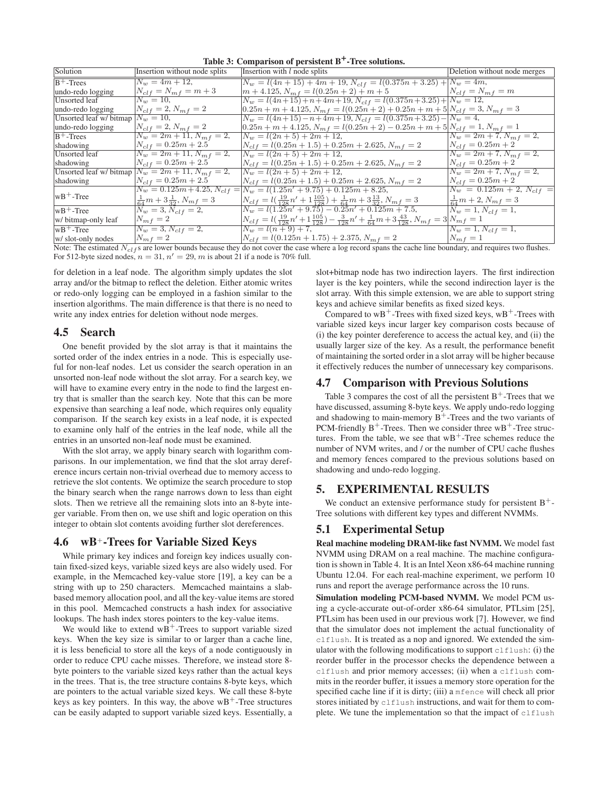| Solution                | Insertion without node splits                            | Insertion with $l$ node splits                                                                                                     | Deletion without node merges   |
|-------------------------|----------------------------------------------------------|------------------------------------------------------------------------------------------------------------------------------------|--------------------------------|
| $B+$ -Trees             | $N_w = 4m + 12$ ,                                        | $N_w = l(4n + 15) + 4m + 19, N_{clf} = l(0.375n + 3.25) + N_w = 4m,$                                                               |                                |
| undo-redo logging       | $N_{clf} = N_{mf} = m + 3$                               | $m + 4.125$ , $N_{mf} = l(0.25n + 2) + m + 5$ $N_{clf} = N_{mf} = m$                                                               |                                |
| <b>Unsorted</b> leaf    | $N_w = 10,$                                              | $N_w = l(4n+15) + n + 4m + 19, N_{clf} = l(0.375n+3.25) + N_w = 12,$                                                               |                                |
| undo-redo logging       | $N_{clf} = 2, N_{mf} = 2$                                | $\left[0.25n + m + 4.125, N_{mf} = l(0.25n + 2) + 0.25n + m + 5\right]N_{clf} = 3, N_{mf} = 3$                                     |                                |
| Unsorted leaf w/ bitmap | $N_w = 10$ ,                                             | $N_w = l(4n+15) - n + 4m + 19, N_{clf} = l(0.375n+3.25) - N_w = 4,$                                                                |                                |
| undo-redo logging       | $N_{clf} = 2, N_{mf} = 2$                                | $0.25n + m + 4.125$ , $N_{mf} = l(0.25n + 2) - 0.25n + m + 5N_{clf} = 1$ , $N_{mf} = 1$                                            |                                |
| $B^+$ -Trees            | $N_w = 2m + 11, N_{mf} = 2,$                             | $N_w = l(2n + 5) + 2m + 12,$                                                                                                       | $N_w = 2m + 7, N_{m,f} = 2,$   |
| shadowing               | $N_{clf} = 0.25m + 2.5$                                  | $N_{clf} = l(0.25n + 1.5) + 0.25m + 2.625, N_{mf} = 2$                                                                             | $N_{clf} = 0.25m + 2$          |
| Unsorted leaf           | $N_w = 2m + 11, N_{mf} = 2,$                             | $N_w = l(2n + 5) + 2m + 12,$                                                                                                       | $N_w = 2m + 7, N_{mf} = 2,$    |
| shadowing               | $N_{clf} = 0.25m + 2.5$                                  | $N_{clf} = l(0.25n + 1.5) + 0.25m + 2.625, N_{mf} = 2$                                                                             | $N_{clf} = 0.25m + 2$          |
|                         | Unsorted leaf w/ bitmap $N_w = 2m + 11$ , $N_{mf} = 2$ , | $N_w = l(2n + 5) + 2m + 12,$                                                                                                       | $N_w = 2m + 7, N_{m} = 2,$     |
| shadowing               | $N_{clf} = 0.25m + 2.5$                                  | $N_{clf} = l(0.25n + 1.5) + 0.25m + 2.625, N_{mf} = 2$                                                                             | $N_{clf} = 0.25m + 2$          |
|                         |                                                          | $N_w = 0.125m + 4.25, N_{clf} =  N_w = l(1.25n' + 9.75) + 0.125m + 8.25,$                                                          | $N_w = 0.125m + 2, N_{clf} =$  |
| $wB+$ -Tree             | $\frac{1}{64}m+3\frac{1}{32}$ , $N_{mf}=3$               | $N_{clf} = l(\frac{19}{128}n' + 1\frac{105}{128}) + \frac{1}{64}m + 3\frac{13}{32}, N_{mf} = 3$                                    | $\frac{1}{64}m+2$ , $N_{mf}=3$ |
| $ wB+$ -Tree            | $N_w = 3, N_{clf} = 2,$                                  | $N_w = l(1.25n' + 9.75) - 0.25n' + 0.125m + 7.5,$                                                                                  | $N_w = 1, N_{clf} = 1,$        |
| w/ bitmap-only leaf     | $N_{mf} = 2$                                             | $N_{clf} = \frac{l(\frac{19}{128}n' + 1\frac{105}{128}) - \frac{3}{128}n' + \frac{1}{64}m + 3\frac{43}{128}, N_{mf} = 3N_{mf} = 1$ |                                |
| $wB+$ -Tree             | $N_w = 3, N_{clf} = 2,$                                  | $N_w = l(n+9) + 7,$                                                                                                                | $N_w = 1, N_{clf} = 1,$        |
| w/ slot-only nodes      | $N_{mf} = 2$                                             | $N_{clf} = l(0.125n + 1.75) + 2.375, N_{mf} = 2$                                                                                   | $N_{mf} = 1$                   |

**Table 3: Comparison of persistent B+-Tree solutions.**

Note: The estimated  $N_{\text{cl}}$  s are lower bounds because they do not cover the case where a log record spans the cache line boundary, and requires two flushes. For 512-byte sized nodes,  $n = 31$ ,  $n' = 29$ , m is about 21 if a node is 70% full.

for deletion in a leaf node. The algorithm simply updates the slot array and/or the bitmap to reflect the deletion. Either atomic writes or redo-only logging can be employed in a fashion similar to the insertion algorithms. The main difference is that there is no need to write any index entries for deletion without node merges.

# **4.5 Search**

One benefit provided by the slot array is that it maintains the sorted order of the index entries in a node. This is especially useful for non-leaf nodes. Let us consider the search operation in an unsorted non-leaf node without the slot array. For a search key, we will have to examine every entry in the node to find the largest entry that is smaller than the search key. Note that this can be more expensive than searching a leaf node, which requires only equality comparison. If the search key exists in a leaf node, it is expected to examine only half of the entries in the leaf node, while all the entries in an unsorted non-leaf node must be examined.

With the slot array, we apply binary search with logarithm comparisons. In our implementation, we find that the slot array dereference incurs certain non-trivial overhead due to memory access to retrieve the slot contents. We optimize the search procedure to stop the binary search when the range narrows down to less than eight slots. Then we retrieve all the remaining slots into an 8-byte integer variable. From then on, we use shift and logic operation on this integer to obtain slot contents avoiding further slot dereferences.

# **4.6 wB**+**-Trees for Variable Sized Keys**

While primary key indices and foreign key indices usually contain fixed-sized keys, variable sized keys are also widely used. For example, in the Memcached key-value store [19], a key can be a string with up to 250 characters. Memcached maintains a slabbased memory allocation pool, and all the key-value items are stored in this pool. Memcached constructs a hash index for associative lookups. The hash index stores pointers to the key-value items.

We would like to extend  $wB^+$ -Trees to support variable sized keys. When the key size is similar to or larger than a cache line, it is less beneficial to store all the keys of a node contiguously in order to reduce CPU cache misses. Therefore, we instead store 8 byte pointers to the variable sized keys rather than the actual keys in the trees. That is, the tree structure contains 8-byte keys, which are pointers to the actual variable sized keys. We call these 8-byte keys as key pointers. In this way, the above  $wB^+$ -Tree structures can be easily adapted to support variable sized keys. Essentially, a slot+bitmap node has two indirection layers. The first indirection layer is the key pointers, while the second indirection layer is the slot array. With this simple extension, we are able to support string keys and achieve similar benefits as fixed sized keys.

Compared to  $wB^+$ -Trees with fixed sized keys,  $wB^+$ -Trees with variable sized keys incur larger key comparison costs because of (i) the key pointer dereference to access the actual key, and (ii) the usually larger size of the key. As a result, the performance benefit of maintaining the sorted order in a slot array will be higher because it effectively reduces the number of unnecessary key comparisons.

# **4.7 Comparison with Previous Solutions**

Table 3 compares the cost of all the persistent  $B^+$ -Trees that we have discussed, assuming 8-byte keys. We apply undo-redo logging and shadowing to main-memory  $B^+$ -Trees and the two variants of PCM-friendly  $B^+$ -Trees. Then we consider three w $B^+$ -Tree structures. From the table, we see that  $wB^+$ -Tree schemes reduce the number of NVM writes, and / or the number of CPU cache flushes and memory fences compared to the previous solutions based on shadowing and undo-redo logging.

# **5. EXPERIMENTAL RESULTS**

We conduct an extensive performance study for persistent  $B^+$ -Tree solutions with different key types and different NVMMs.

# **5.1 Experimental Setup**

**Real machine modeling DRAM-like fast NVMM.** We model fast NVMM using DRAM on a real machine. The machine configuration is shown in Table 4. It is an Intel Xeon x86-64 machine running Ubuntu 12.04. For each real-machine experiment, we perform 10 runs and report the average performance across the 10 runs.

**Simulation modeling PCM-based NVMM.** We model PCM using a cycle-accurate out-of-order x86-64 simulator, PTLsim [25], PTLsim has been used in our previous work [7]. However, we find that the simulator does not implement the actual functionality of clflush. It is treated as a nop and ignored. We extended the simulator with the following modifications to support clflush: (i) the reorder buffer in the processor checks the dependence between a clflush and prior memory accesses; (ii) when a clflush commits in the reorder buffer, it issues a memory store operation for the specified cache line if it is dirty; (iii) a mfence will check all prior stores initiated by clflush instructions, and wait for them to complete. We tune the implementation so that the impact of clflush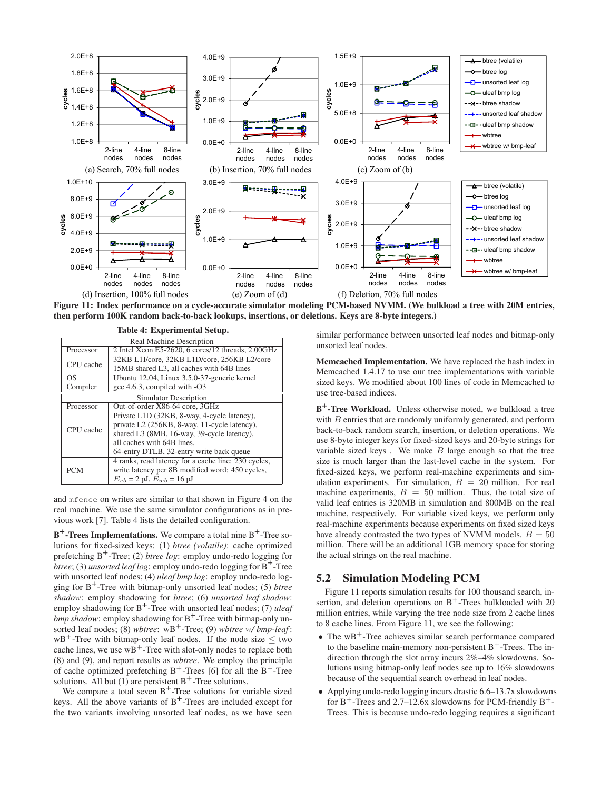

**Figure 11: Index performance on a cycle-accurate simulator modeling PCM-based NVMM. (We bulkload a tree with 20M entries, then perform 100K random back-to-back lookups, insertions, or deletions. Keys are 8-byte integers.)**

| Table 4: Experimental Setup.                                   |                                                     |  |  |  |  |
|----------------------------------------------------------------|-----------------------------------------------------|--|--|--|--|
|                                                                | Real Machine Description                            |  |  |  |  |
| 2 Intel Xeon E5-2620, 6 cores/12 threads, 2.00GHz<br>Processor |                                                     |  |  |  |  |
| CPU cache                                                      | 32KB L1I/core, 32KB L1D/core, 256KB L2/core         |  |  |  |  |
|                                                                | 15MB shared L3, all caches with 64B lines           |  |  |  |  |
| OS                                                             | Ubuntu 12.04, Linux 3.5.0-37-generic kernel         |  |  |  |  |
| gcc 4.6.3, compiled with -O3<br>Compiler                       |                                                     |  |  |  |  |
|                                                                | Simulator Description                               |  |  |  |  |
| Processor                                                      | Out-of-order X86-64 core, 3GHz                      |  |  |  |  |
|                                                                | Private L1D (32KB, 8-way, 4-cycle latency),         |  |  |  |  |
| CPU cache                                                      | private L2 (256KB, 8-way, 11-cycle latency),        |  |  |  |  |
|                                                                | shared L3 (8MB, 16-way, 39-cycle latency),          |  |  |  |  |
|                                                                | all caches with 64B lines,                          |  |  |  |  |
| 64-entry DTLB, 32-entry write back queue                       |                                                     |  |  |  |  |
|                                                                | 4 ranks, read latency for a cache line: 230 cycles, |  |  |  |  |
| <b>PCM</b>                                                     | write latency per 8B modified word: 450 cycles,     |  |  |  |  |
|                                                                | $E_{rb} = 2 \text{ pJ}, E_{wb} = 16 \text{ pJ}$     |  |  |  |  |

and mfence on writes are similar to that shown in Figure 4 on the real machine. We use the same simulator configurations as in previous work [7]. Table 4 lists the detailed configuration.

**B<sup>+</sup>-Trees Implementations.** We compare a total nine B<sup>+</sup>-Tree solutions for fixed-sized keys: (1) *btree (volatile)*: cache optimized prefetching B+ -Tree; (2) *btree log*: employ undo-redo logging for *btree*; (3) *unsorted leaf log*: employ undo-redo logging for B<sup>+</sup>-Tree with unsorted leaf nodes; (4) *uleaf bmp log*: employ undo-redo logging for B+ -Tree with bitmap-only unsorted leaf nodes; (5) *btree shadow*: employ shadowing for *btree*; (6) *unsorted leaf shadow*: employ shadowing for B<sup>+</sup>-Tree with unsorted leaf nodes; (7) *uleaf bmp shadow*: employ shadowing for B+ -Tree with bitmap-only unsorted leaf nodes; (8) *wbtree*:  $wB^+$ -Tree; (9) *wbtree w/ bmp-leaf*:  $wB^+$ -Tree with bitmap-only leaf nodes. If the node size  $\leq$  two cache lines, we use  $wB^+$ -Tree with slot-only nodes to replace both (8) and (9), and report results as *wbtree*. We employ the principle of cache optimized prefetching  $B^+$ -Trees [6] for all the  $B^+$ -Tree solutions. All but (1) are persistent  $B^+$ -Tree solutions.

We compare a total seven  $B^+$ -Tree solutions for variable sized keys. All the above variants of  $B^+$ -Trees are included except for the two variants involving unsorted leaf nodes, as we have seen similar performance between unsorted leaf nodes and bitmap-only unsorted leaf nodes.

**Memcached Implementation.** We have replaced the hash index in Memcached 1.4.17 to use our tree implementations with variable sized keys. We modified about 100 lines of code in Memcached to use tree-based indices.

**B +-Tree Workload.** Unless otherwise noted, we bulkload a tree with *B* entries that are randomly uniformly generated, and perform back-to-back random search, insertion, or deletion operations. We use 8-byte integer keys for fixed-sized keys and 20-byte strings for variable sized keys. We make  $B$  large enough so that the tree size is much larger than the last-level cache in the system. For fixed-sized keys, we perform real-machine experiments and simulation experiments. For simulation,  $B = 20$  million. For real machine experiments,  $B = 50$  million. Thus, the total size of valid leaf entries is 320MB in simulation and 800MB on the real machine, respectively. For variable sized keys, we perform only real-machine experiments because experiments on fixed sized keys have already contrasted the two types of NVMM models.  $B = 50$ million. There will be an additional 1GB memory space for storing the actual strings on the real machine.

# **5.2 Simulation Modeling PCM**

Figure 11 reports simulation results for 100 thousand search, insertion, and deletion operations on  $B^+$ -Trees bulkloaded with 20 million entries, while varying the tree node size from 2 cache lines to 8 cache lines. From Figure 11, we see the following:

- The wB<sup>+</sup>-Tree achieves similar search performance compared to the baseline main-memory non-persistent  $B^+$ -Trees. The indirection through the slot array incurs 2%–4% slowdowns. Solutions using bitmap-only leaf nodes see up to 16% slowdowns because of the sequential search overhead in leaf nodes.
- Applying undo-redo logging incurs drastic 6.6–13.7x slowdowns for  $B^+$ -Trees and 2.7–12.6x slowdowns for PCM-friendly  $B^+$ -Trees. This is because undo-redo logging requires a significant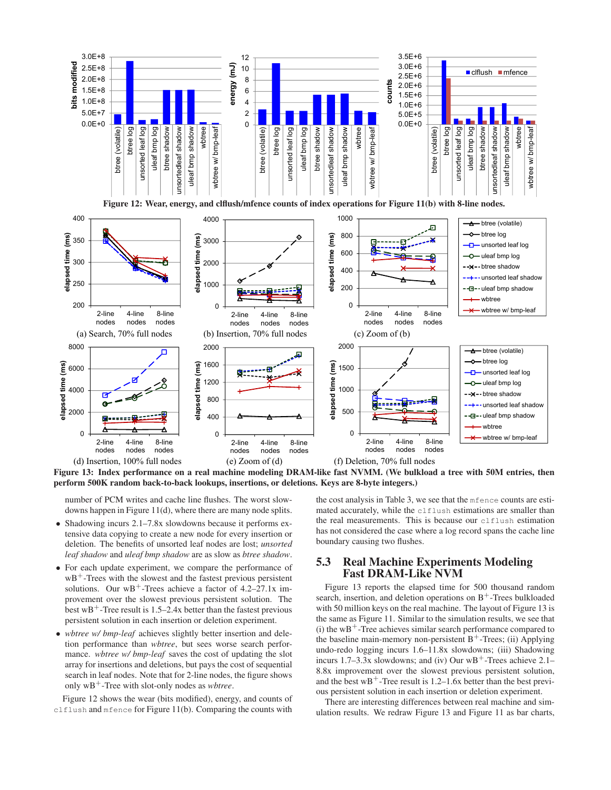

**Figure 13: Index performance on a real machine modeling DRAM-like fast NVMM. (We bulkload a tree with 50M entries, then perform 500K random back-to-back lookups, insertions, or deletions. Keys are 8-byte integers.)**

number of PCM writes and cache line flushes. The worst slowdowns happen in Figure 11(d), where there are many node splits.

- Shadowing incurs 2.1–7.8x slowdowns because it performs extensive data copying to create a new node for every insertion or deletion. The benefits of unsorted leaf nodes are lost; *unsorted leaf shadow* and *uleaf bmp shadow* are as slow as *btree shadow*.
- For each update experiment, we compare the performance of  $wB^+$ -Trees with the slowest and the fastest previous persistent solutions. Our  $wB^+$ -Trees achieve a factor of 4.2–27.1x improvement over the slowest previous persistent solution. The best  $wB^+$ -Tree result is 1.5–2.4x better than the fastest previous persistent solution in each insertion or deletion experiment.
- *wbtree w/ bmp-leaf* achieves slightly better insertion and deletion performance than *wbtree*, but sees worse search performance. *wbtree w/ bmp-leaf* saves the cost of updating the slot array for insertions and deletions, but pays the cost of sequential search in leaf nodes. Note that for 2-line nodes, the figure shows only wB<sup>+</sup>-Tree with slot-only nodes as *wbtree*.

Figure 12 shows the wear (bits modified), energy, and counts of clflush and mfence for Figure 11(b). Comparing the counts with the cost analysis in Table 3, we see that the mfence counts are estimated accurately, while the clflush estimations are smaller than the real measurements. This is because our clflush estimation has not considered the case where a log record spans the cache line boundary causing two flushes.

# **5.3 Real Machine Experiments Modeling Fast DRAM-Like NVM**

Figure 13 reports the elapsed time for 500 thousand random search, insertion, and deletion operations on  $B^+$ -Trees bulkloaded with 50 million keys on the real machine. The layout of Figure 13 is the same as Figure 11. Similar to the simulation results, we see that  $(i)$  the wB<sup>+</sup>-Tree achieves similar search performance compared to the baseline main-memory non-persistent  $B^+$ -Trees; (ii) Applying undo-redo logging incurs 1.6–11.8x slowdowns; (iii) Shadowing incurs 1.7–3.3x slowdowns; and (iv) Our  $WB^+$ -Trees achieve 2.1– 8.8x improvement over the slowest previous persistent solution, and the best  $wB^+$ -Tree result is 1.2–1.6x better than the best previous persistent solution in each insertion or deletion experiment.

There are interesting differences between real machine and simulation results. We redraw Figure 13 and Figure 11 as bar charts,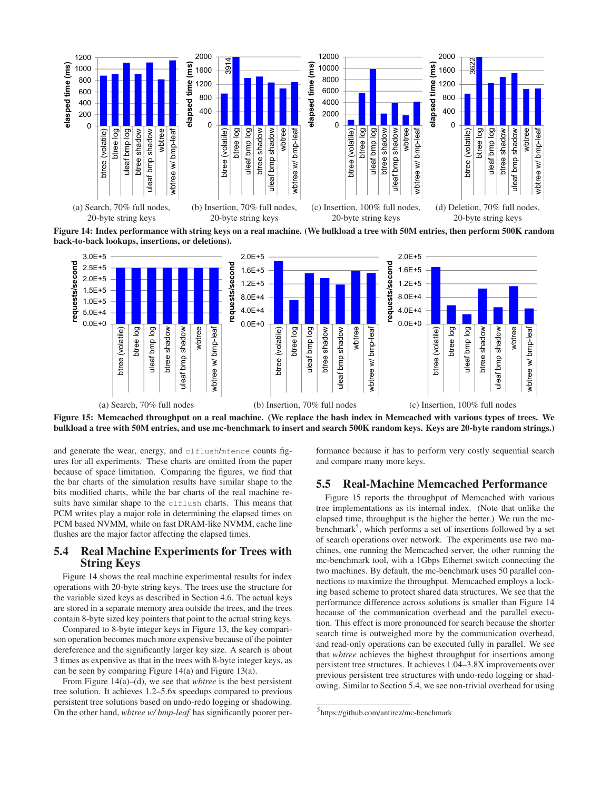

**Figure 14: Index performance with string keys on a real machine. (We bulkload a tree with 50M entries, then perform 500K random back-to-back lookups, insertions, or deletions).**



**Figure 15: Memcached throughput on a real machine. (We replace the hash index in Memcached with various types of trees. We bulkload a tree with 50M entries, and use mc-benchmark to insert and search 500K random keys. Keys are 20-byte random strings.)**

and generate the wear, energy, and clflush/mfence counts figures for all experiments. These charts are omitted from the paper because of space limitation. Comparing the figures, we find that the bar charts of the simulation results have similar shape to the bits modified charts, while the bar charts of the real machine results have similar shape to the clflush charts. This means that PCM writes play a major role in determining the elapsed times on PCM based NVMM, while on fast DRAM-like NVMM, cache line flushes are the major factor affecting the elapsed times.

# **5.4 Real Machine Experiments for Trees with String Keys**

Figure 14 shows the real machine experimental results for index operations with 20-byte string keys. The trees use the structure for the variable sized keys as described in Section 4.6. The actual keys are stored in a separate memory area outside the trees, and the trees contain 8-byte sized key pointers that point to the actual string keys.

Compared to 8-byte integer keys in Figure 13, the key comparison operation becomes much more expensive because of the pointer dereference and the significantly larger key size. A search is about 3 times as expensive as that in the trees with 8-byte integer keys, as can be seen by comparing Figure 14(a) and Figure 13(a).

From Figure 14(a)–(d), we see that *wbtree* is the best persistent tree solution. It achieves 1.2–5.6x speedups compared to previous persistent tree solutions based on undo-redo logging or shadowing. On the other hand, *wbtree w/ bmp-leaf* has significantly poorer performance because it has to perform very costly sequential search and compare many more keys.

# **5.5 Real-Machine Memcached Performance**

Figure 15 reports the throughput of Memcached with various tree implementations as its internal index. (Note that unlike the elapsed time, throughput is the higher the better.) We run the mcbenchmark<sup>5</sup>, which performs a set of insertions followed by a set of search operations over network. The experiments use two machines, one running the Memcached server, the other running the mc-benchmark tool, with a 1Gbps Ethernet switch connecting the two machines. By default, the mc-benchmark uses 50 parallel connections to maximize the throughput. Memcached employs a locking based scheme to protect shared data structures. We see that the performance difference across solutions is smaller than Figure 14 because of the communication overhead and the parallel execution. This effect is more pronounced for search because the shorter search time is outweighed more by the communication overhead, and read-only operations can be executed fully in parallel. We see that *wbtree* achieves the highest throughput for insertions among persistent tree structures. It achieves 1.04–3.8X improvements over previous persistent tree structures with undo-redo logging or shadowing. Similar to Section 5.4, we see non-trivial overhead for using

<sup>5</sup> https://github.com/antirez/mc-benchmark